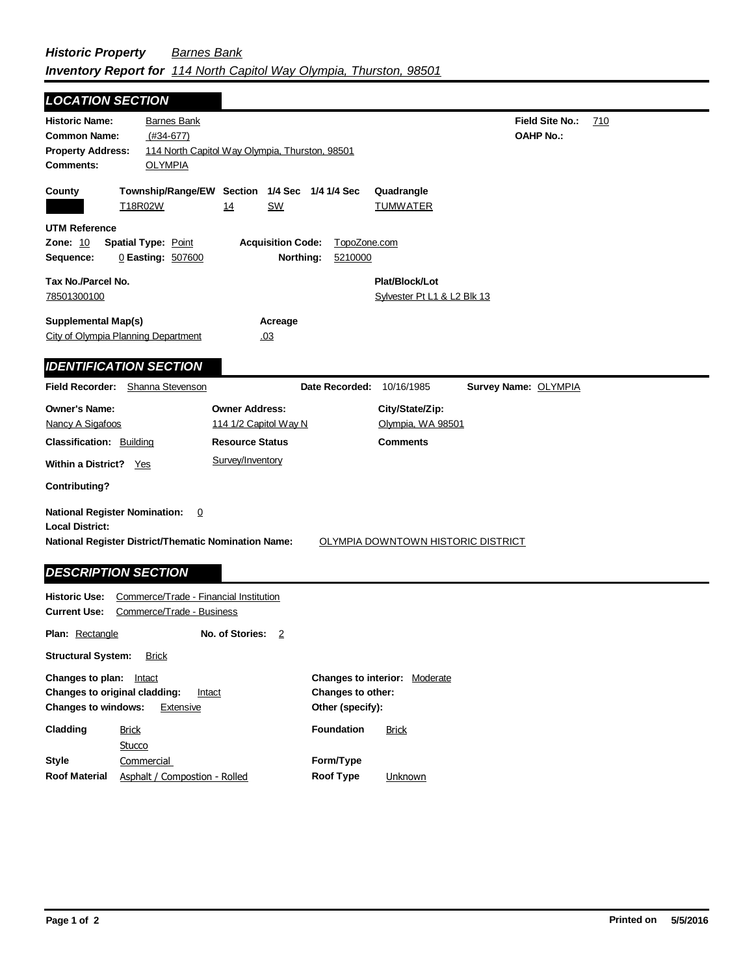| <b>LOCATION SECTION</b>                                                                                                                                     |                                                                          |                                       |                                                          |
|-------------------------------------------------------------------------------------------------------------------------------------------------------------|--------------------------------------------------------------------------|---------------------------------------|----------------------------------------------------------|
| <b>Historic Name:</b><br><b>Common Name:</b><br>$(#34-677)$<br><b>Property Address:</b><br><b>Comments:</b><br><b>OLYMPIA</b>                               | <b>Barnes Bank</b><br>114 North Capitol Way Olympia, Thurston, 98501     |                                       | <b>Field Site No.:</b><br><u>710</u><br><b>OAHP No.:</b> |
| County<br>T18R02W                                                                                                                                           | Township/Range/EW Section 1/4 Sec 1/4 1/4 Sec<br><b>SW</b><br>14         |                                       | Quadrangle<br><b>TUMWATER</b>                            |
| <b>UTM Reference</b><br>Zone: 10<br><b>Spatial Type: Point</b><br>Sequence:<br>0 Easting: 507600                                                            | <b>Acquisition Code:</b><br>Northing:                                    | TopoZone.com<br>5210000               |                                                          |
| Tax No./Parcel No.<br>78501300100                                                                                                                           |                                                                          |                                       | Plat/Block/Lot<br>Sylvester Pt L1 & L2 Blk 13            |
| <b>Supplemental Map(s)</b><br>City of Olympia Planning Department                                                                                           | Acreage<br>.03                                                           |                                       |                                                          |
| <b>IDENTIFICATION SECTION</b>                                                                                                                               |                                                                          |                                       |                                                          |
| Field Recorder: Shanna Stevenson                                                                                                                            |                                                                          | Date Recorded:                        | Survey Name: OLYMPIA<br>10/16/1985                       |
| <b>Owner's Name:</b><br>Nancy A Sigafoos<br><b>Classification: Building</b>                                                                                 | <b>Owner Address:</b><br>114 1/2 Capitol Way N<br><b>Resource Status</b> |                                       | City/State/Zip:<br>Olympia, WA 98501<br><b>Comments</b>  |
| Within a District? Yes                                                                                                                                      | Survey/Inventory                                                         |                                       |                                                          |
| <b>Contributing?</b>                                                                                                                                        |                                                                          |                                       |                                                          |
| <b>National Register Nomination:</b><br><b>Local District:</b><br><b>National Register District/Thematic Nomination Name:</b><br><b>DESCRIPTION SECTION</b> | <u>0</u>                                                                 |                                       | OLYMPIA DOWNTOWN HISTORIC DISTRICT                       |
| <b>Historic Use:</b><br><b>Current Use:</b>                                                                                                                 | Commerce/Trade - Financial Institution<br>Commerce/Trade - Business      |                                       |                                                          |
| Plan: Rectangle                                                                                                                                             | No. of Stories:<br>$\overline{2}$                                        |                                       |                                                          |
| <b>Structural System:</b><br><b>Brick</b>                                                                                                                   |                                                                          |                                       |                                                          |
| <b>Changes to plan:</b> Intact<br>Changes to original cladding:<br><b>Changes to windows:</b>                                                               | Intact<br>Extensive                                                      | Changes to other:<br>Other (specify): | Changes to interior: Moderate                            |
| Cladding<br><b>Brick</b><br>$C_{11}$                                                                                                                        |                                                                          | <b>Foundation</b>                     | <b>Brick</b>                                             |

|               | Stucco                        |                  |                |
|---------------|-------------------------------|------------------|----------------|
| Style         | Commercial                    | Form/Type        |                |
| Roof Material | Asphalt / Compostion - Rolled | <b>Roof Type</b> | <b>Unknown</b> |